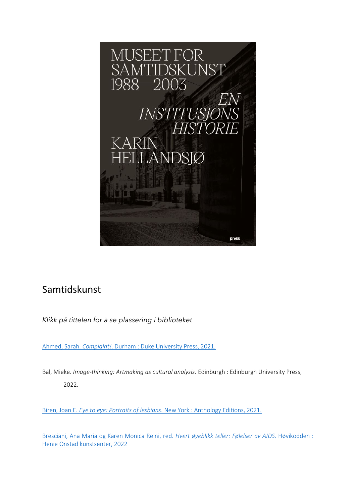

## Samtidskunst

*Klikk på tittelen for å se plassering i biblioteket* 

Ahmed, Sarah. *Complaint!*[. Durham : Duke University Press, 2021.](https://bibsys-almaprimo.hosted.exlibrisgroup.com/permalink/f/52356k/BIBSYS_ILS71643989010002201)

Bal, Mieke. *Image-thinking: Artmaking as cultural analysis*. Edinburgh : Edinburgh University Press, 2022.

Biren, Joan E. *Eye to eye: Portraits of lesbians*[. New York : Anthology Editions, 2021.](https://bibsys-almaprimo.hosted.exlibrisgroup.com/permalink/f/1n8chvd/BIBSYS_ILS71644204140002201)

Bresciani, Ana Maria og Karen Monica Reini, red. *Hvert øyeblikk teller: Følelser av AIDS*. Høvikodden : Henie Onstad kunstsenter, 2022